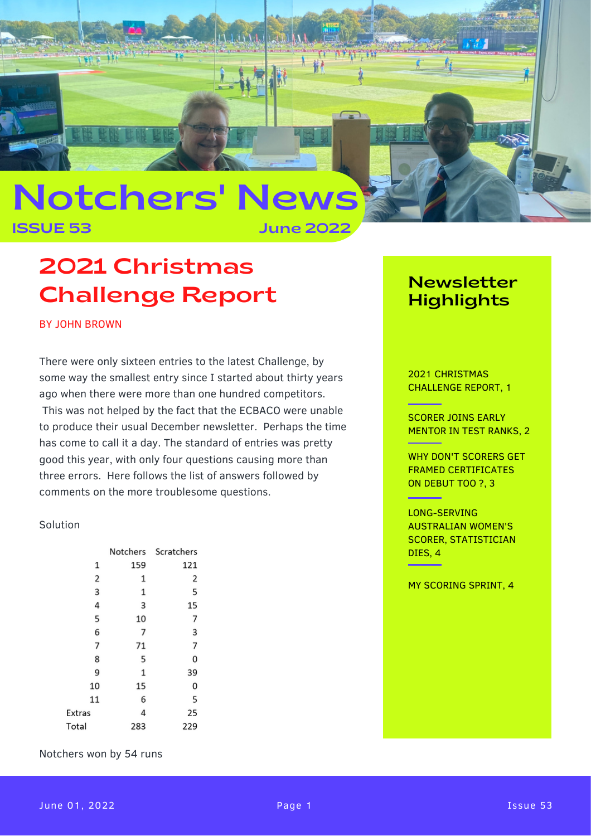

ISSUE 53 June 2022

# 2021 Christmas Challenge Report

BY JOHN BROWN

There were only sixteen entries to the latest Challenge, by some way the smallest entry since I started about thirty years ago when there were more than one hundred competitors. This was not helped by the fact that the ECBACO were unable to produce their usual December newsletter. Perhaps the time has come to call it a day. The standard of entries was pretty good this year, with only four questions causing more than three errors. Here follows the list of answers followed by comments on the more troublesome questions.

#### Solution

|               | Notchers | Scratchers |
|---------------|----------|------------|
| 1             | 159      | 121        |
| 2             | 1        | 2          |
| 3             | 1        | 5          |
| 4             | 3        | 15         |
| 5             | 10       | 7          |
| 6             | 7        | 3          |
| 7             | 71       | 7          |
| 8             | 5        | 0          |
| 9             | 1        | 39         |
| 10            | 15       | 0          |
| 11            | 6        | 5          |
| <b>Extras</b> | 4        | 25         |
| Total         | 283      | 229        |

Notchers won by 54 runs

### Newsletter **Highlights**

2021 CHRISTMAS CHALLENGE REPORT, 1

<u> Tanzania (</u>

<u> Albanya di Ba</u>

SCORER JOINS EARLY MENTOR IN TEST RANKS, 2

WHY DON'T SCORERS GET FRAMED CERTIFICATES ON DEBUT TOO ?, 3

#### LONG-SERVING AUSTRALIAN WOMEN'S SCORER, STATISTICIAN DIES, 4

MY SCORING SPRINT, 4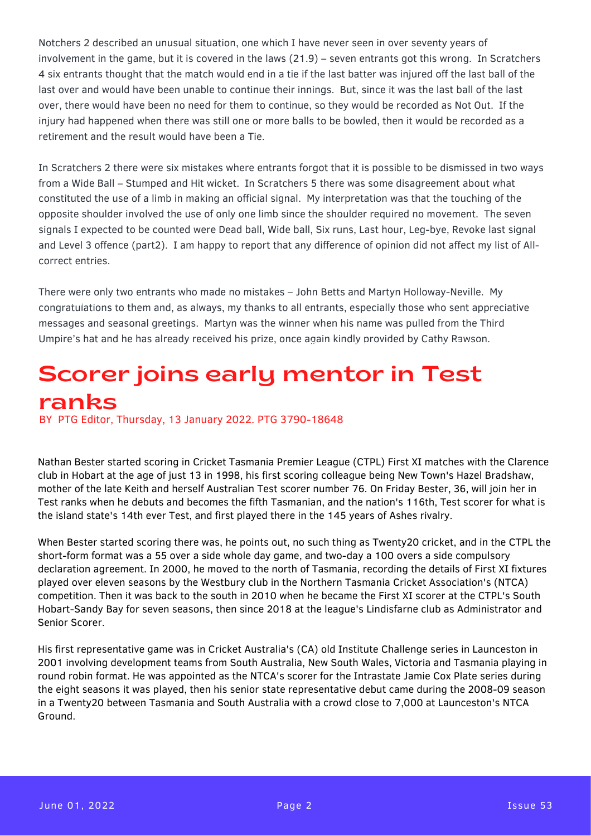Notchers 2 described an unusual situation, one which I have never seen in over seventy years of involvement in the game, but it is covered in the laws (21.9) – seven entrants got this wrong. In Scratchers 4 six entrants thought that the match would end in a tie if the last batter was injured off the last ball of the last over and would have been unable to continue their innings. But, since it was the last ball of the last over, there would have been no need for them to continue, so they would be recorded as Not Out. If the injury had happened when there was still one or more balls to be bowled, then it would be recorded as a retirement and the result would have been a Tie.

In Scratchers 2 there were six mistakes where entrants forgot that it is possible to be dismissed in two ways from a Wide Ball – Stumped and Hit wicket. In Scratchers 5 there was some disagreement about what constituted the use of a limb in making an official signal. My interpretation was that the touching of the opposite shoulder involved the use of only one limb since the shoulder required no movement. The seven signals I expected to be counted were Dead ball, Wide ball, Six runs, Last hour, Leg-bye, Revoke last signal and Level 3 offence (part2). I am happy to report that any difference of opinion did not affect my list of Allcorrect entries.

There were only two entrants who made no mistakes – John Betts and Martyn Holloway-Neville. My congratulations to them and, as always, my thanks to all entrants, especially those who sent appreciative messages and seasonal greetings. Martyn was the winner when his name was pulled from the Third Umpire's hat and he has already received his prize, once again kindly provided by Cathy Rawson.

### of your company by inserting your logo, infusing Scorer joins early mentor in Test you want to use your company newsletter for ranks BY PTG Editor, Thursday, 13 January 2022. PTG 3790-18648

Nathan Bester started scoring in Cricket Tasmania Premier League (CTPL) First XI matches with the Clarence club in Hobart at the age of just 13 in 1998, his first scoring colleague being New Town's Hazel Bradshaw, mother of the late Keith and herself Australian Test scorer number 76. On Friday Bester, 36, will join her in Test ranks when he debuts and becomes the fifth Tasmanian, and the nation's 116th, Test scorer for what is the island state's 14th ever Test, and first played there in the 145 years of Ashes rivalry.

When Bester started scoring there was, he points out, no such thing as Twenty20 cricket, and in the CTPL the short-form format was a 55 over a side whole day game, and two-day a 100 overs a side compulsory declaration agreement. In 2000, he moved to the north of Tasmania, recording the details of First XI fixtures played over eleven seasons by the Westbury club in the Northern Tasmania Cricket Association's (NTCA) competition. Then it was back to the south in 2010 when he became the First XI scorer at the CTPL's South Hobart-Sandy Bay for seven seasons, then since 2018 at the league's Lindisfarne club as Administrator and Senior Scorer.

His first representative game was in Cricket Australia's (CA) old Institute Challenge series in Launceston in 2001 involving development teams from South Australia, New South Wales, Victoria and Tasmania playing in round robin format. He was appointed as the NTCA's scorer for the Intrastate Jamie Cox Plate series during the eight seasons it was played, then his senior state representative debut came during the 2008-09 season in a Twenty20 between Tasmania and South Australia with a crowd close to 7,000 at Launceston's NTCA Ground.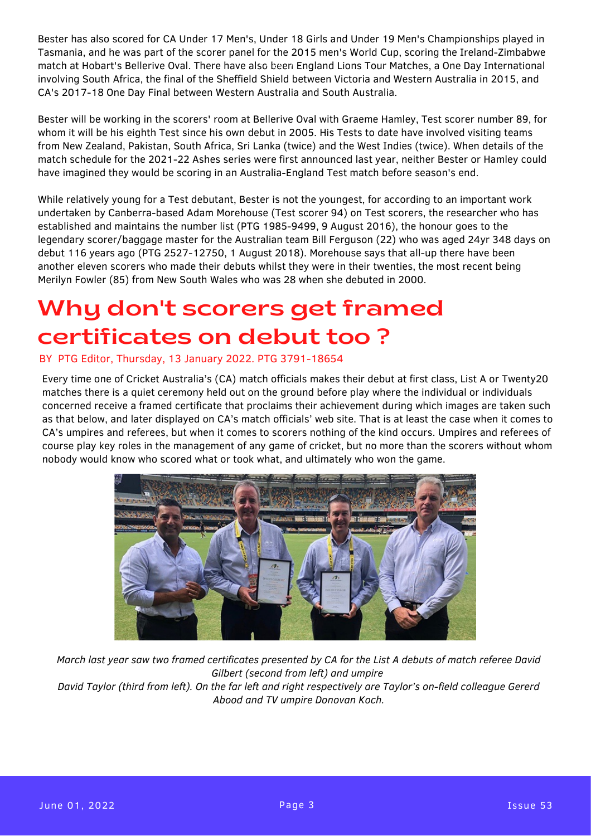Bester has also scored for CA Under 17 Men's, Under 18 Girls and Under 19 Men's Championships played in Tasmania, and he was part of the scorer panel for the 2015 men's World Cup, scoring the Ireland-Zimbabwe match at Hobart's Bellerive Oval. There have also been England Lions Tour Matches, a One Day International involving South Africa, the final of the Sheffield Shield between Victoria and Western Australia in 2015, and CA's 2017-18 One Day Final between Western Australia and South Australia.

Bester will be working in the scorers' room at Bellerive Oval with Graeme Hamley, Test scorer number 89, for whom it will be his eighth Test since his own debut in 2005. His Tests to date have involved visiting teams from New Zealand, Pakistan, South Africa, Sri Lanka (twice) and the West Indies (twice). When details of the match schedule for the 2021-22 Ashes series were first announced last year, neither Bester or Hamley could have imagined they would be scoring in an Australia-England Test match before season's end.

While relatively young for a Test debutant, Bester is not the youngest, for according to an important work undertaken by Canberra-based Adam Morehouse (Test scorer 94) on Test scorers, the researcher who has established and maintains the number list (PTG 1985-9499, 9 August 2016), the honour goes to the legendary scorer/baggage master for the Australian team Bill Ferguson (22) who was aged 24yr 348 days on debut 116 years ago (PTG 2527-12750, 1 August 2018). Morehouse says that all-up there have been another eleven scorers who made their debuts whilst they were in their twenties, the most recent being Merilyn Fowler (85) from New South Wales who was 28 when she debuted in 2000.

# certificates on debut too ? Why don't scorers get framed

### BY PTG Editor, Thursday, 13 January 2022. PTG 3791-18654

Every time one of Cricket Australia's (CA) match officials makes their debut at first class, List A or Twenty20 matches there is a quiet ceremony held out on the ground before play where the individual or individuals concerned receive a framed certificate that proclaims their achievement during which images are taken such as that seron, and rater display se on one materic mislate mess site. That is at reast the sace mish it comes to<br>CA's umpires and referees, but when it comes to scorers nothing of the kind occurs. Umpires and referees of course play key roles in the management of any game of cricket, but no more than the scorers without whom nobody would know who scored what or took what, and ultimately who won the game. as that below, and later displayed on CA's match officials' web site. That is at least the case when it comes to



*March last year saw two framed certificates presented by CA for the List A debuts of match referee David Gilbert (second from left) and umpire David Taylor (third from left). On the far left and right respectively are Taylor's on-field colleague Gererd*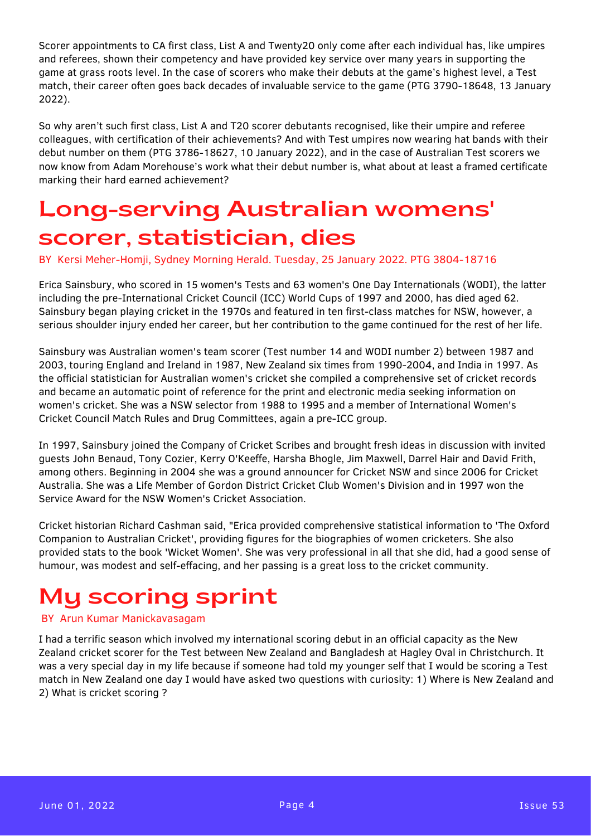Scorer appointments to CA first class, List A and Twenty20 only come after each individual has, like umpires and referees, shown their competency and have provided key service over many years in supporting the game at grass roots level. In the case of scorers who make their debuts at the game's highest level, a Test match, their career often goes back decades of invaluable service to the game (PTG 3790-18648, 13 January 2022).

So why aren't such first class, List A and T20 scorer debutants recognised, like their umpire and referee colleagues, with certification of their achievements? And with Test umpires now wearing hat bands with their debut number on them (PTG 3786-18627, 10 January 2022), and in the case of Australian Test scorers we now know from Adam Morehouse's work what their debut number is, what about at least a framed certificate marking their hard earned achievement?

## Long-serving Australian womens' scorer, statistician, dies

BY Kersi Meher-Homji, Sydney Morning Herald. Tuesday, 25 January 2022. PTG 3804-18716

Erica Sainsbury, who scored in 15 women's Tests and 63 women's One Day Internationals (WODI), the latter including the pre-International Cricket Council (ICC) World Cups of 1997 and 2000, has died aged 62. Sainsbury began playing cricket in the 1970s and featured in ten first-class matches for NSW, however, a serious shoulder injury ended her career, but her contribution to the game continued for the rest of her life.

Sainsbury was Australian women's team scorer (Test number 14 and WODI number 2) between 1987 and 2003, touring England and Ireland in 1987, New Zealand six times from 1990-2004, and India in 1997. As the official statistician for Australian women's cricket she compiled a comprehensive set of cricket records and became an automatic point of reference for the print and electronic media seeking information on women's cricket. She was a NSW selector from 1988 to 1995 and a member of International Women's Cricket Council Match Rules and Drug Committees, again a pre-ICC group.

In 1997, Sainsbury joined the Company of Cricket Scribes and brought fresh ideas in discussion with invited guests John Benaud, Tony Cozier, Kerry O'Keeffe, Harsha Bhogle, Jim Maxwell, Darrel Hair and David Frith, among others. Beginning in 2004 she was a ground announcer for Cricket NSW and since 2006 for Cricket Australia. She was a Life Member of Gordon District Cricket Club Women's Division and in 1997 won the Service Award for the NSW Women's Cricket Association.

Cricket historian Richard Cashman said, "Erica provided comprehensive statistical information to 'The Oxford Companion to Australian Cricket', providing figures for the biographies of women cricketers. She also provided stats to the book 'Wicket Women'. She was very professional in all that she did, had a good sense of humour, was modest and self-effacing, and her passing is a great loss to the cricket community.

## My scoring sprint

#### BY Arun Kumar Manickavasagam

I had a terrific season which involved my international scoring debut in an official capacity as the New Zealand cricket scorer for the Test between New Zealand and Bangladesh at Hagley Oval in Christchurch. It was a very special day in my life because if someone had told my younger self that I would be scoring a Test match in New Zealand one day I would have asked two questions with curiosity: 1) Where is New Zealand and 2) What is cricket scoring ?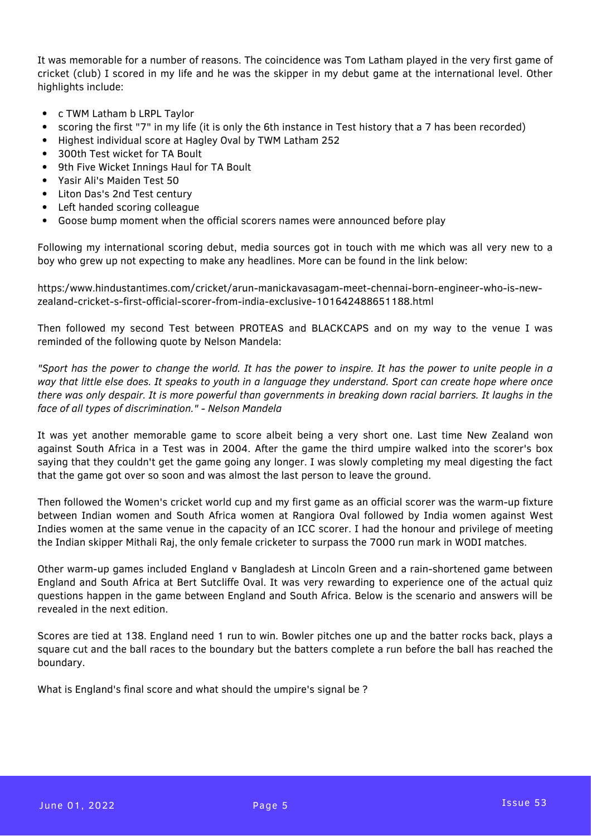It was memorable for a number of reasons. The coincidence was Tom Latham played in the very first game of cricket (club) I scored in my life and he was the skipper in my debut game at the international level. Other highlights include:

- c TWM Latham b LRPL Taylor
- $\bullet$ scoring the first "7" in my life (it is only the 6th instance in Test history that a 7 has been recorded)
- Highest individual score at Hagley Oval by TWM Latham 252
- 300th Test wicket for TA Boult
- 9th Five Wicket Innings Haul for TA Boult
- Yasir Ali's Maiden Test 50
- Liton Das's 2nd Test century
- Left handed scoring colleague
- Goose bump moment when the official scorers names were announced before play

Following my international scoring debut, media sources got in touch with me which was all very new to a boy who grew up not expecting to make any headlines. More can be found in the link below:

https:/www.hindustantimes.com/cricket/arun-manickavasagam-meet-chennai-born-engineer-who-is-newzealand-cricket-s-first-official-scorer-from-india-exclusive-101642488651188.html

Then followed my second Test between PROTEAS and BLACKCAPS and on my way to the venue I was reminded of the following quote by Nelson Mandela:

"Sport has the power to change the world. It has the power to inspire. It has the power to unite people in a way that little else does. It speaks to youth in a language they understand. Sport can create hope where once there was only despair. It is more powerful than governments in breaking down racial barriers. It laughs in the *face of all types of discrimination." - Nelson Mandela*

It was yet another memorable game to score albeit being a very short one. Last time New Zealand won against South Africa in a Test was in 2004. After the game the third umpire walked into the scorer's box saying that they couldn't get the game going any longer. I was slowly completing my meal digesting the fact that the game got over so soon and was almost the last person to leave the ground.

Then followed the Women's cricket world cup and my first game as an official scorer was the warm-up fixture between Indian women and South Africa women at Rangiora Oval followed by India women against West Indies women at the same venue in the capacity of an ICC scorer. I had the honour and privilege of meeting the Indian skipper Mithali Raj, the only female cricketer to surpass the 7000 run mark in WODI matches.

Other warm-up games included England v Bangladesh at Lincoln Green and a rain-shortened game between England and South Africa at Bert Sutcliffe Oval. It was very rewarding to experience one of the actual quiz questions happen in the game between England and South Africa. Below is the scenario and answers will be revealed in the next edition.

Scores are tied at 138. England need 1 run to win. Bowler pitches one up and the batter rocks back, plays a square cut and the ball races to the boundary but the batters complete a run before the ball has reached the boundary.

What is England's final score and what should the umpire's signal be ?